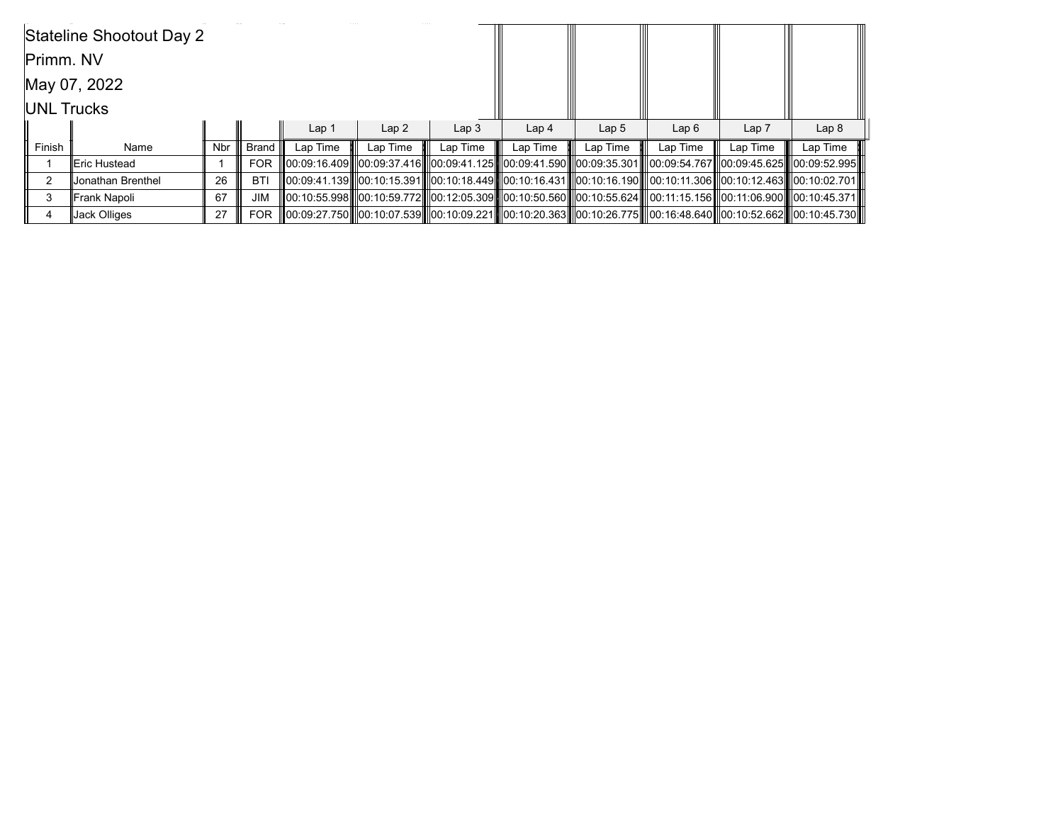|                   | Stateline Shootout Day 2 |            |            |                  |          |                  |                  |                  |                                                                                                                       |          |                  |
|-------------------|--------------------------|------------|------------|------------------|----------|------------------|------------------|------------------|-----------------------------------------------------------------------------------------------------------------------|----------|------------------|
| Primm. NV         |                          |            |            |                  |          |                  |                  |                  |                                                                                                                       |          |                  |
|                   | May 07, 2022             |            |            |                  |          |                  |                  |                  |                                                                                                                       |          |                  |
| <b>UNL Trucks</b> |                          |            |            |                  |          |                  |                  |                  |                                                                                                                       |          |                  |
|                   |                          |            |            | Lap <sub>1</sub> | Lap2     | Lap <sub>3</sub> | Lap <sub>4</sub> | Lap <sub>5</sub> | Lap6                                                                                                                  | Lap 7    | Lap <sub>8</sub> |
| Finish            | Name                     | <b>Nbr</b> | Brand I    | Lap Time         | Lap Time | Lap Time         | Lap Time         | Lap Time         | Lap Time                                                                                                              | Lap Time | Lap Time         |
|                   | lEric Hustead            |            | <b>FOR</b> |                  |          |                  |                  |                  | 00:09:16.409   00:09:37.416   00:09:41.125   00:09:41.590   00:09:35.301   00:09:54.767  00:09:45.625   00:09:52.995  |          |                  |
| 2                 | Jonathan Brenthel        | 26         | BTI        |                  |          |                  |                  |                  | 00:09:41.139   00:10:15.391   00:10:18.449   00:10:16.431   00:10:16.190   00:10:11.306   00:10:12.463   00:10:02.701 |          |                  |
| 3                 | Frank Napoli             | 67         | <b>JIM</b> |                  |          |                  |                  |                  | 00:10:55.998   00:10:59.772   00:12:05.309   00:10:50.560   00:10:55.624   00:11:15.156   00:11:06.900   00:10:45.371 |          |                  |
|                   | Jack Olliges             | 27         | FOR.       |                  |          |                  |                  |                  | 00:09:27.750   00:10:07.539   00:10:09.221   00:10:20.363   00:10:26.775   00:16:48.640  00:10:52.662   00:10:45.730  |          |                  |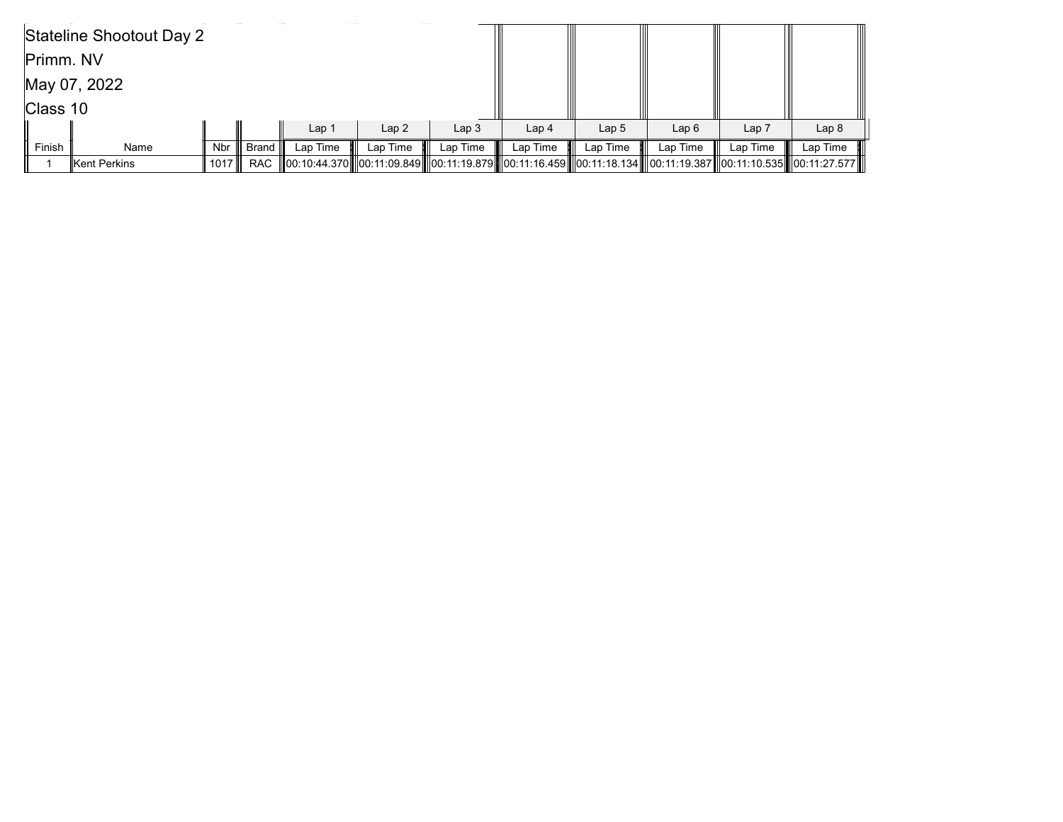|           | Stateline Shootout Day 2 |      |              |                  |          |                  |                  |                  |                                                                                                                      |                  |                  |
|-----------|--------------------------|------|--------------|------------------|----------|------------------|------------------|------------------|----------------------------------------------------------------------------------------------------------------------|------------------|------------------|
| Primm. NV |                          |      |              |                  |          |                  |                  |                  |                                                                                                                      |                  |                  |
|           | May 07, 2022             |      |              |                  |          |                  |                  |                  |                                                                                                                      |                  |                  |
| Class 10  |                          |      |              |                  |          |                  |                  |                  |                                                                                                                      |                  |                  |
|           |                          |      |              | Lap <sub>1</sub> | Lap2     | Lap <sub>3</sub> | Lap <sub>4</sub> | Lap <sub>5</sub> | Lap6                                                                                                                 | Lap <sub>7</sub> | Lap <sub>8</sub> |
| Finish    | Name                     |      | Nbr    Brand | Lap Time         | Lap Time | Lap Time         | Lap Time         | Lap Time         | Lap Time                                                                                                             | Lap Time         | Lap Time         |
|           | Kent Perkins             | 1017 | RAC          |                  |          |                  |                  |                  | 00:10:44.370   00:11:09.849   00:11:19.879   00:11:16.459   00:11:18.134   00:11:19.387  00:11:10.535   00:11:27.577 |                  |                  |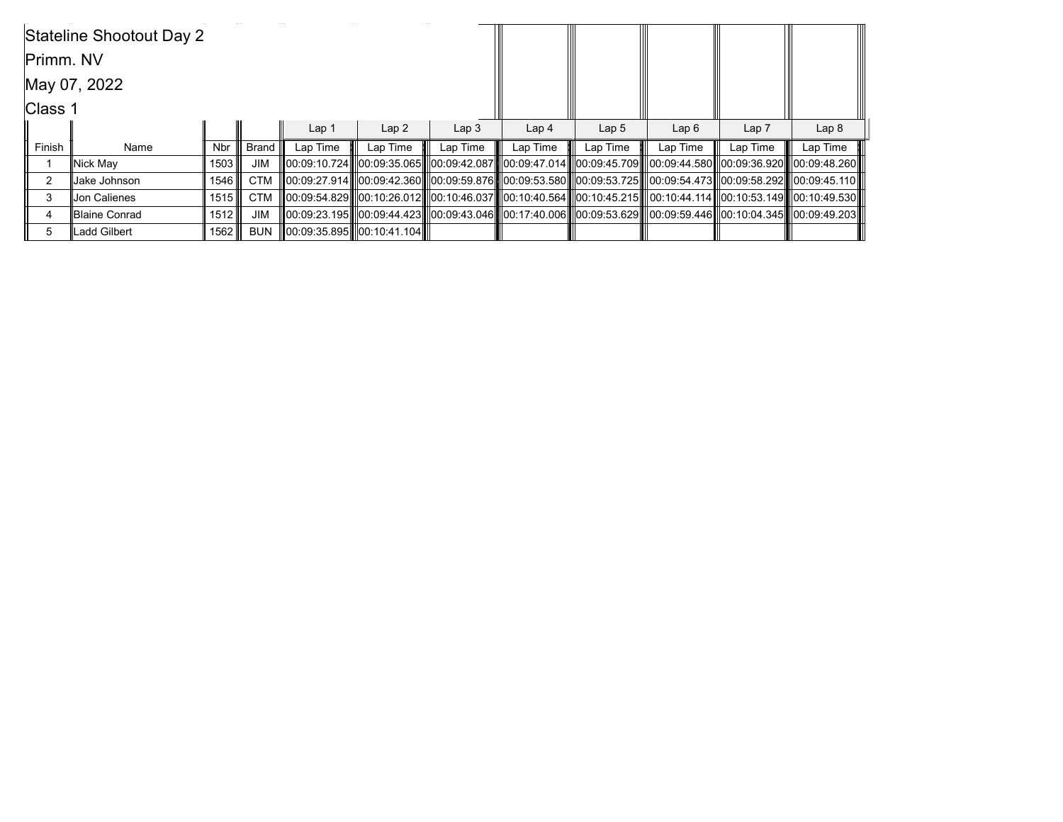|               | Stateline Shootout Day 2 |            |            |                  |                            |                  |                  |                  |                                                                                                                                   |          |                  |
|---------------|--------------------------|------------|------------|------------------|----------------------------|------------------|------------------|------------------|-----------------------------------------------------------------------------------------------------------------------------------|----------|------------------|
| Primm. NV     |                          |            |            |                  |                            |                  |                  |                  |                                                                                                                                   |          |                  |
|               | May 07, 2022             |            |            |                  |                            |                  |                  |                  |                                                                                                                                   |          |                  |
| Class 1       |                          |            |            |                  |                            |                  |                  |                  |                                                                                                                                   |          |                  |
|               |                          |            |            | Lap <sub>1</sub> | Lap <sub>2</sub>           | Lap <sub>3</sub> | Lap <sub>4</sub> | Lap <sub>5</sub> | Lap6                                                                                                                              | Lap 7    | Lap <sub>8</sub> |
| Finish        | Name                     | <b>Nbr</b> | Brand      | Lap Time         | Lap Time                   | Lap Time         | Lap Time         | Lap Time         | Lap Time                                                                                                                          | Lap Time | Lap Time         |
|               | Nick May                 | 1503       | <b>JIM</b> |                  |                            |                  |                  |                  | III00:09:10.724IIIl00:09:35.065IIIl00:09:42.087IIIl00:09:47.014IIIl00:09:45.709IIIl00:09:44.580IIl00:09:36.920IIIl00:09:48.260III |          |                  |
| $\mathcal{P}$ | Jake Johnson             | 1546 ∥     | <b>CTM</b> |                  |                            |                  |                  |                  |                                                                                                                                   |          |                  |
| 3             | <b>Jon Calienes</b>      | 1515       | <b>CTM</b> |                  |                            |                  |                  |                  | 00:10:49.530  00:10:26.012  00:10:46.037  00:10:40.564  00:10:45.215   00:10:44.114  00:10:53.149  00:10:49.530                   |          |                  |
| 4             | Blaine Conrad            | 1512       | <b>JIM</b> |                  |                            |                  |                  |                  | 00:09:23.195   00:09:44.423   00:09:43.046   00:17:40.006   00:09:53.629   00:09:59.446  00:10:04.345   00:09:49.203              |          |                  |
| 5             | Ladd Gilbert             | 1562 ∥     | <b>BUN</b> |                  | 00:09:35.895  00:10:41.104 |                  |                  |                  |                                                                                                                                   |          |                  |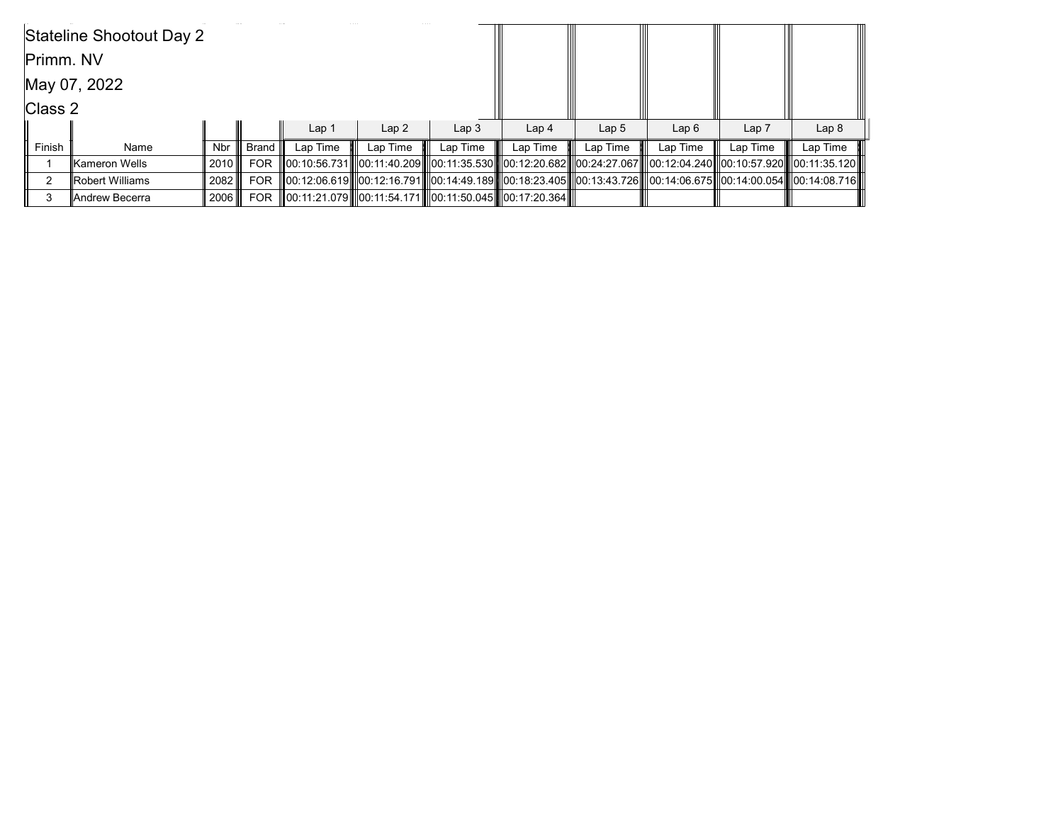|           | Stateline Shootout Day 2 |            |            |                                                        |          |                  |                  |                  |                                                                                                                       |          |                  |
|-----------|--------------------------|------------|------------|--------------------------------------------------------|----------|------------------|------------------|------------------|-----------------------------------------------------------------------------------------------------------------------|----------|------------------|
| Primm. NV |                          |            |            |                                                        |          |                  |                  |                  |                                                                                                                       |          |                  |
|           | May 07, 2022             |            |            |                                                        |          |                  |                  |                  |                                                                                                                       |          |                  |
| Class 2   |                          |            |            |                                                        |          |                  |                  |                  |                                                                                                                       |          |                  |
|           |                          |            |            | Lap <sub>1</sub>                                       | Lap2     | Lap <sub>3</sub> | Lap <sub>4</sub> | Lap <sub>5</sub> | Lap6                                                                                                                  | Lap 7    | Lap <sub>8</sub> |
| Finish    | Name                     | <b>Nbr</b> | Brand I    | Lap Time                                               | Lap Time | Lap Time         | Lap Time         | Lap Time         | Lap Time                                                                                                              | Lap Time | Lap Time         |
|           | lKameron Wells           | 2010       | <b>FOR</b> |                                                        |          |                  |                  |                  | 00:10:56.731   00:11:40.209   00:11:35.530   00:12:20.682   00:24:27.067   00:12:04.240   00:10:57.920   00:11:35.120 |          |                  |
| ົ         | Robert Williams          | 2082 ∥     | <b>FOR</b> |                                                        |          |                  |                  |                  | 00:12:06.619  00:12:16.791  00:14:49.189  00:18:23.405  00:13:43.726  00:14:06.675  00:14:00.054  00:14:08.716        |          |                  |
|           | lAndrew Becerra          |            |            | 00:11:21.079  00:11:54.171  00:11:50.045  00:17:20.364 |          |                  |                  |                  |                                                                                                                       |          |                  |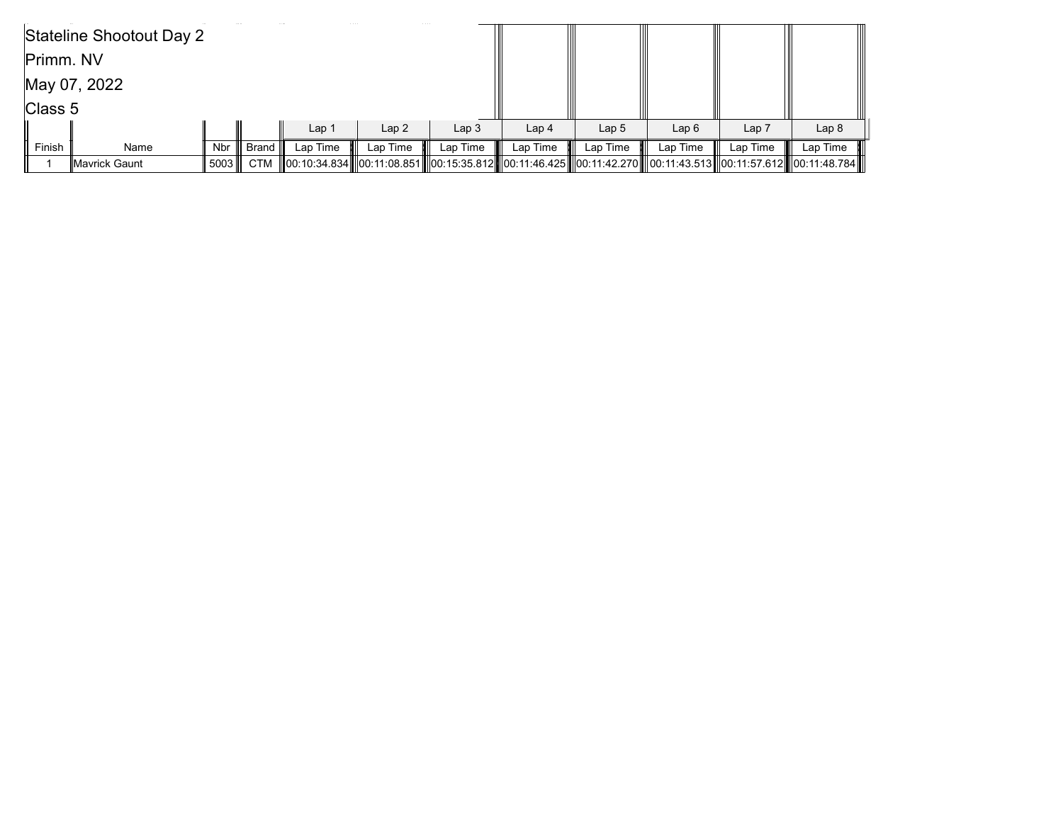|                 | Stateline Shootout Day 2 |      |         |                  |          |                  |                  |                                                                                                                            |          |                  |                  |
|-----------------|--------------------------|------|---------|------------------|----------|------------------|------------------|----------------------------------------------------------------------------------------------------------------------------|----------|------------------|------------------|
| Primm. NV       |                          |      |         |                  |          |                  |                  |                                                                                                                            |          |                  |                  |
|                 | May 07, 2022             |      |         |                  |          |                  |                  |                                                                                                                            |          |                  |                  |
| $\vert$ Class 5 |                          |      |         |                  |          |                  |                  |                                                                                                                            |          |                  |                  |
|                 |                          |      |         | Lap <sub>1</sub> | Lap2     | Lap <sub>3</sub> | Lap <sub>4</sub> | Lap <sub>5</sub>                                                                                                           | Lap6     | Lap <sub>7</sub> | Lap <sub>8</sub> |
| Finish          | Name                     | Nbr  | Brand I | Lap Time         | Lap Time | Lap Time         | Lap Time         | Lap Time                                                                                                                   | Lap Time | Lap Time         | Lap Time         |
|                 | <b>IMavrick Gaunt</b>    | 5003 |         |                  |          |                  |                  | CTM   00:10:34.834   00:11:08.851   00:15:35.812   00:11:46.425   00:11:42.270   00:11:43.513  00:11:57.612   00:11:48.784 |          |                  |                  |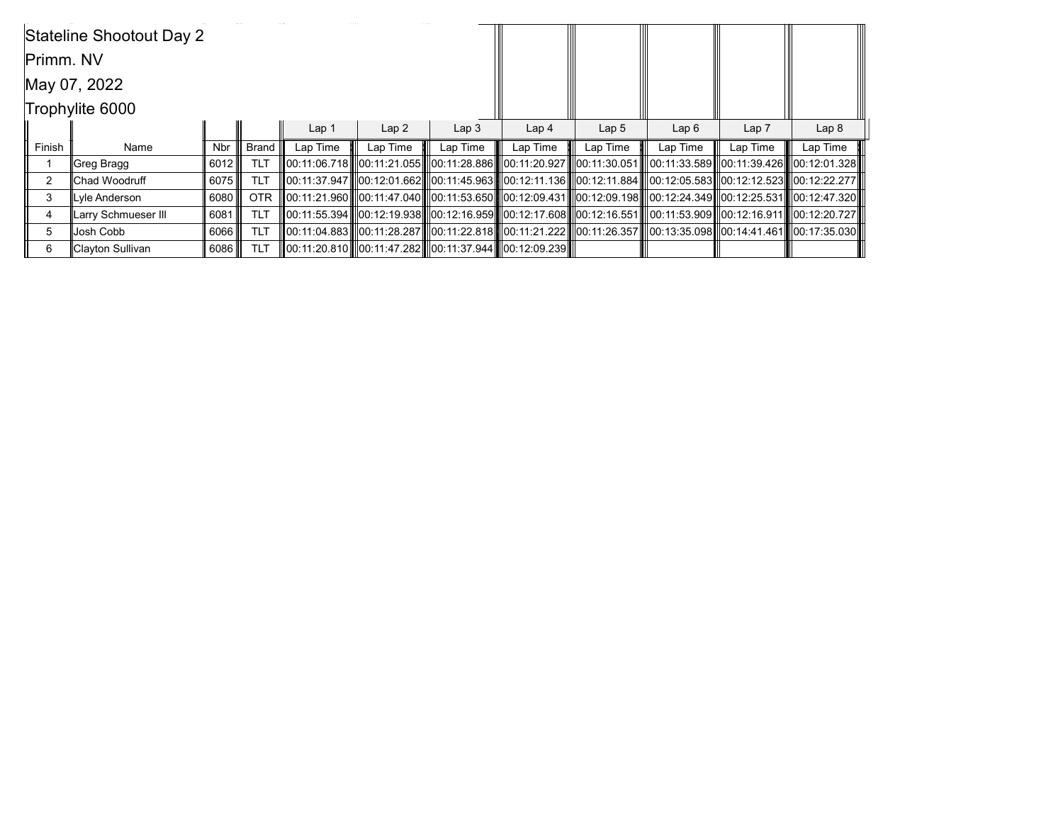|               | Stateline Shootout Day 2 |            |              |                  |                  |                  |                                                                     |                  |                                                                                                                                    |          |                  |
|---------------|--------------------------|------------|--------------|------------------|------------------|------------------|---------------------------------------------------------------------|------------------|------------------------------------------------------------------------------------------------------------------------------------|----------|------------------|
| Primm. NV     |                          |            |              |                  |                  |                  |                                                                     |                  |                                                                                                                                    |          |                  |
|               | May 07, 2022             |            |              |                  |                  |                  |                                                                     |                  |                                                                                                                                    |          |                  |
|               | Trophylite 6000          |            |              |                  |                  |                  |                                                                     |                  |                                                                                                                                    |          |                  |
|               |                          |            |              | Lap <sub>1</sub> | Lap <sub>2</sub> | Lap <sub>3</sub> | Lap <sub>4</sub>                                                    | Lap <sub>5</sub> | Lap6                                                                                                                               | Lap 7    | Lap <sub>8</sub> |
| Finish        | Name                     | <b>Nbr</b> | <b>Brand</b> | Lap Time         | Lap Time         | Lap Time         | Lap Time                                                            | Lap Time         | Lap Time                                                                                                                           | Lap Time | Lap Time         |
|               | ∥Greg Bragg              | 6012       | <b>TLT</b>   |                  |                  |                  |                                                                     |                  | III00:11:06.718IIII00:11:21.055IIII00:11:28.886IIII00:11:20.927IIII00:11:30.051IIII00:11:33.589III00:11:39.426IIII00:12:01.328II   |          |                  |
| $\mathcal{P}$ | lChad Woodruff           | 6075       | <b>TLT</b>   |                  |                  |                  |                                                                     |                  | 00:11:37.947   00:12:01.662   00:11:45.963   00:12:11.136   00:12:11.884   00:12:05.583  00:12:12.523   00:12:22.277               |          |                  |
| 3             | Lyle Anderson            | 6080       | <b>OTR</b>   |                  |                  |                  |                                                                     |                  | III00:11:21.960IIII00:11:47.040IIII00:11:53.650IIII00:12:09.431IIII00:12:09.198IIII00:12:24.349III00:12:25.531IIII00:12:47.320II   |          |                  |
| 4             | Larry Schmueser III      | 6081       | <b>TLT</b>   |                  |                  |                  |                                                                     |                  | III00:11:55.394 III00:12:19.938 III00:12:16.959 III00:12:17.608 III00:12:16.551 III 00:11:53.909 III00:12:16.911 III00:12:20.727 I |          |                  |
| 5             | Josh Cobb                | 6066       | <b>TLT</b>   |                  |                  |                  |                                                                     |                  | lll00:11:04.883 lll00:11:28.287 lll00:11:22.818 lll00:11:21.222 lll00:11:26.357 lll00:13:35.098 ll00:14:41.461 lll00:17:35.030 ll  |          |                  |
| 6             | Clayton Sullivan         | 6086       | <b>TLT</b>   |                  |                  |                  | III00:11:20.810IIII00:11:47.282IIII00:11:37.944IIII00:12:09.239IIII |                  |                                                                                                                                    |          |                  |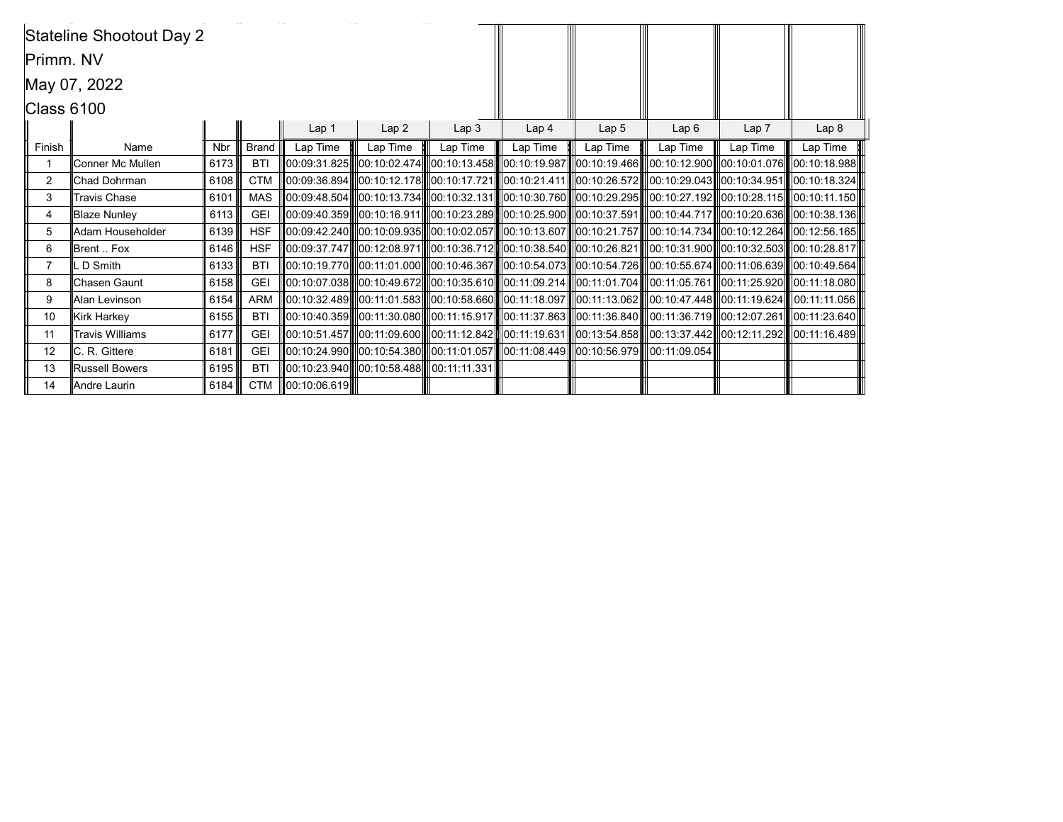|            | Stateline Shootout Day 2 |            |              |                    |                  |                                                     |                                                                                                                                                         |          |                  |                  |          |
|------------|--------------------------|------------|--------------|--------------------|------------------|-----------------------------------------------------|---------------------------------------------------------------------------------------------------------------------------------------------------------|----------|------------------|------------------|----------|
| Primm. NV  |                          |            |              |                    |                  |                                                     |                                                                                                                                                         |          |                  |                  |          |
|            | May 07, 2022             |            |              |                    |                  |                                                     |                                                                                                                                                         |          |                  |                  |          |
| Class 6100 |                          |            |              |                    |                  |                                                     |                                                                                                                                                         |          |                  |                  |          |
|            |                          |            |              | Lap <sub>1</sub>   | Lap <sub>3</sub> | Lap <sub>4</sub>                                    | Lap <sub>5</sub>                                                                                                                                        | Lap6     | Lap <sub>7</sub> | Lap <sub>8</sub> |          |
| Finish     | Name                     | <b>Nbr</b> | <b>Brand</b> | Lap Time           | Lap Time         | Lap Time                                            | Lap Time                                                                                                                                                | Lap Time | Lap Time         | Lap Time         | Lap Time |
| -1         | Conner Mc Mullen         | 6173       | <b>BTI</b>   |                    |                  |                                                     | 00:09:31.825    00:10:02.474    00:10:13.458    00:10:19.987   00:10:19.466    00:10:12.900   00:10:01.076    00:10:18.988                              |          |                  |                  |          |
| 2          | lChad Dohrman            | 6108       | <b>CTM</b>   |                    |                  |                                                     | 00:09:36.894   00:10:12.178   00:10:17.721   00:10:21.411   00:10:26.572   00:10:29.043   00:10:34.951   00:10:18.324                                   |          |                  |                  |          |
| 3          | <b>Travis Chase</b>      | 6101       | <b>MAS</b>   |                    |                  |                                                     | 00:09:48.504    00:10:13.734    00:10:32.131    00:10:30.760    00:10:29.295    00:10:27.192    00:10:28.115    00:10:11.150                            |          |                  |                  |          |
| 4          | <b>Blaze Nunley</b>      | 6113       | <b>GEI</b>   |                    |                  |                                                     | $\ 00:09:40.359\ $ $\ 00:10:16.911\ $ $\ 00:10:23.289\ $ $\ 00:10:25.900\ $ $\ 00:10:37.591\ $ $\ 00:10:44.717\ $ $\ 00:10:20.636\ $ $\ 00:10:38.136\ $ |          |                  |                  |          |
| 5          | Adam Householder         | 6139       | <b>HSF</b>   |                    |                  |                                                     | 00:09:42.240  00:10:09.935  00:10:02.057  00:10:13.607  00:10:21.757  00:10:14.734  00:10:12.264  00:12:56.165                                          |          |                  |                  |          |
| 6          | Brent  Fox               | 6146       | <b>HSF</b>   |                    |                  |                                                     | $\ 00:09:37.747\ $ $\ 00:12:08.971\ $ $\ 00:10:36.712\ $ $\ 00:10:38.540\ $ $\ 00:10:26.821\ $ $\ 00:10:31.900\ $ $\ 00:10:32.503\ $ $\ 00:10:28.817\ $ |          |                  |                  |          |
|            | LD Smith                 | 6133       | <b>BTI</b>   |                    |                  |                                                     | 00:10:19.770   00:11:01.000   00:10:46.367   00:10:54.073   00:10:54.726   00:10:55.674  00:11:06.639   00:10:49.564                                    |          |                  |                  |          |
| 8          | Chasen Gaunt             | 6158       | <b>GEI</b>   |                    |                  |                                                     |                                                                                                                                                         |          |                  |                  |          |
| 9          | Alan Levinson            | 6154       | <b>ARM</b>   |                    |                  |                                                     |                                                                                                                                                         |          |                  |                  |          |
| 10         | Kirk Harkey              | 6155       | <b>BTI</b>   |                    |                  |                                                     | 00:10:40.359   00:11:30.080   00:11:15.917   00:11:37.863   00:11:36.840   00:11:36.719   00:12:07.261   00:11:23.640                                   |          |                  |                  |          |
| 11         | <b>Travis Williams</b>   | 6177       | <b>GEI</b>   |                    |                  |                                                     | 00:10:51.457 00:11:09.600 0:01:12.842 00:11:19.631 00:13:54.858 00:13:37.442 00:12:11.292 00:11:16.489                                                  |          |                  |                  |          |
| 12         | IC. R. Gittere           | 6181       | <b>GEI</b>   |                    |                  |                                                     | ∥00:10:24.990  ∥00:10:54.380  ∥00:11:01.057  ∥00:11:08.449  ∥00:10:56.979  ∥00:11:09.054                                                                |          |                  |                  |          |
| 13         | <b>Russell Bowers</b>    | 6195       | <b>BTI</b>   |                    |                  | III00:10:23.940IIII00:10:58.488IIIII00:11:11.331 II |                                                                                                                                                         |          |                  |                  |          |
| 14         | Andre Laurin             | 6184       | <b>CTM</b>   | $\ 00:10:06.619\ $ |                  |                                                     |                                                                                                                                                         |          |                  |                  |          |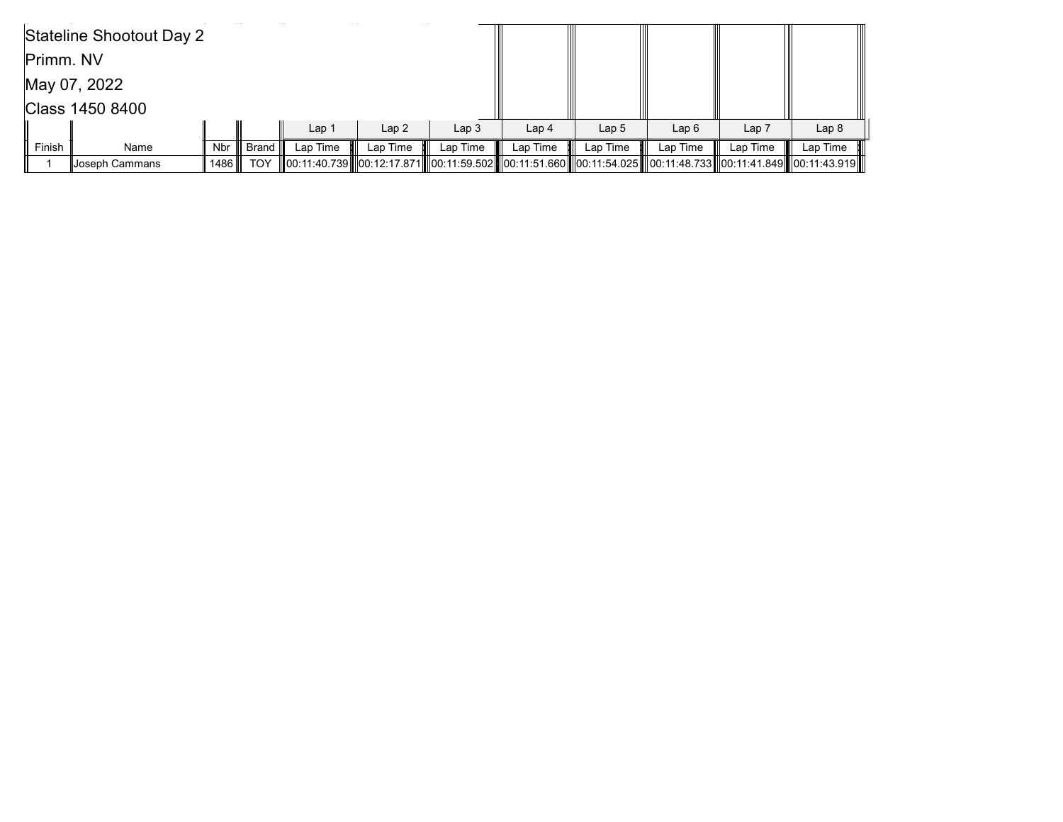|                 | Stateline Shootout Day 2 |        |                  |                  |          |                  |                  |                  |                                                                                                                                             |                  |                  |
|-----------------|--------------------------|--------|------------------|------------------|----------|------------------|------------------|------------------|---------------------------------------------------------------------------------------------------------------------------------------------|------------------|------------------|
| Primm. NV       |                          |        |                  |                  |          |                  |                  |                  |                                                                                                                                             |                  |                  |
| May 07, 2022    |                          |        |                  |                  |          |                  |                  |                  |                                                                                                                                             |                  |                  |
| Class 1450 8400 |                          |        |                  |                  |          |                  |                  |                  |                                                                                                                                             |                  |                  |
|                 |                          |        |                  | Lap <sub>1</sub> | Lap2     | Lap <sub>3</sub> | Lap <sub>4</sub> | Lap <sub>5</sub> | Lap6                                                                                                                                        | Lap <sub>7</sub> | Lap <sub>8</sub> |
| Finish          | Name                     | Nbr ∥  | ∥ Brand <b>I</b> | Lap Time         | Lap Time | Lap Time         | Lap Time         | Lap Time         | Lap Time                                                                                                                                    | Lap Time         | Lap Time         |
|                 | Joseph Cammans           | 1486 ⊪ | TOY              |                  |          |                  |                  |                  | 00:11:40.739      00:12:17.871      00:11:59.502      00:11:51.660      00:11:54.025       00:11:48.733      00:11:41.849      00:11:43.919 |                  |                  |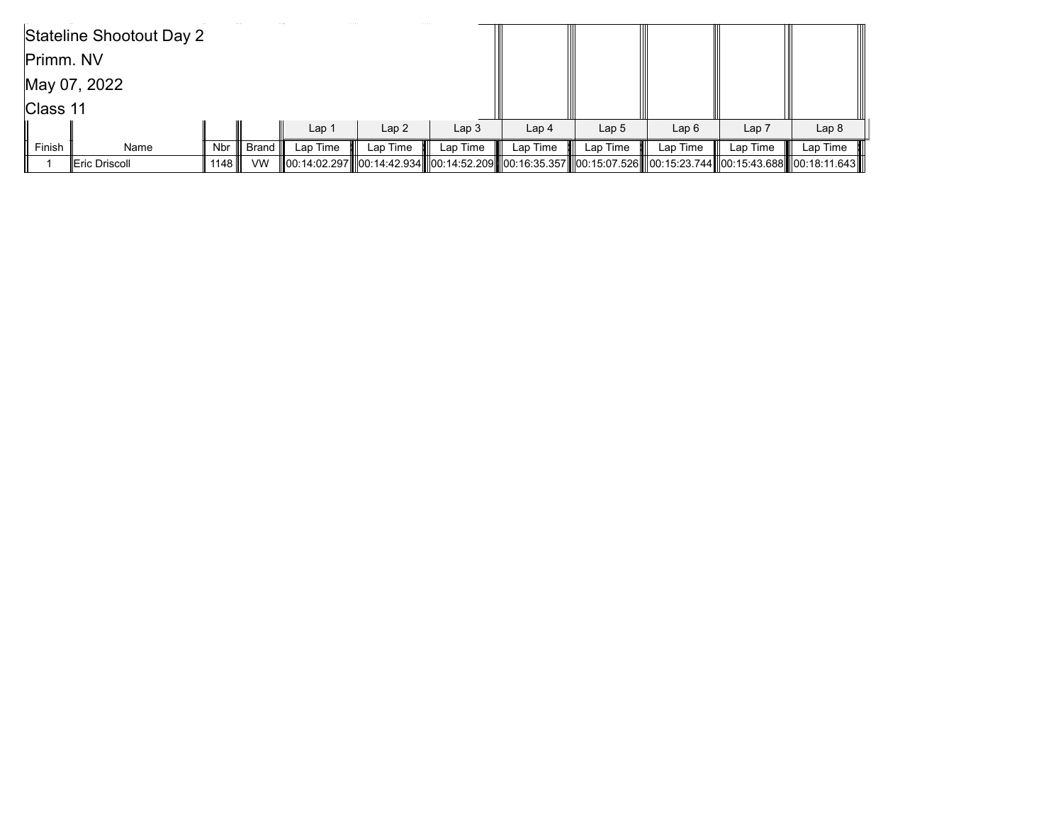|           | Stateline Shootout Day 2 |      |             |                  |          |                                                                                                                      |                  |                  |          |                  |                  |
|-----------|--------------------------|------|-------------|------------------|----------|----------------------------------------------------------------------------------------------------------------------|------------------|------------------|----------|------------------|------------------|
| Primm. NV |                          |      |             |                  |          |                                                                                                                      |                  |                  |          |                  |                  |
|           | May 07, 2022             |      |             |                  |          |                                                                                                                      |                  |                  |          |                  |                  |
| Class 11  |                          |      |             |                  |          |                                                                                                                      |                  |                  |          |                  |                  |
|           |                          |      |             | Lap <sub>1</sub> | Lap2     | Lap <sub>3</sub>                                                                                                     | Lap <sub>4</sub> | Lap <sub>5</sub> | Lap6     | Lap <sub>7</sub> | Lap <sub>8</sub> |
| Finish    | Name                     | Nbr  | ,∥ Brand I″ | Lap Time         | Lap Time | Lap Time                                                                                                             | Lap Time         | Lap Time         | Lap Time | Lap Time         | Lap Time         |
|           | Eric Driscoll            | 1148 | <b>VW</b>   |                  |          | 00:14:02.297   00:14:42.934   00:14:52.209   00:16:35.357   00:15:07.526   00:15:23.744  00:15:43.688   00:18:11.643 |                  |                  |          |                  |                  |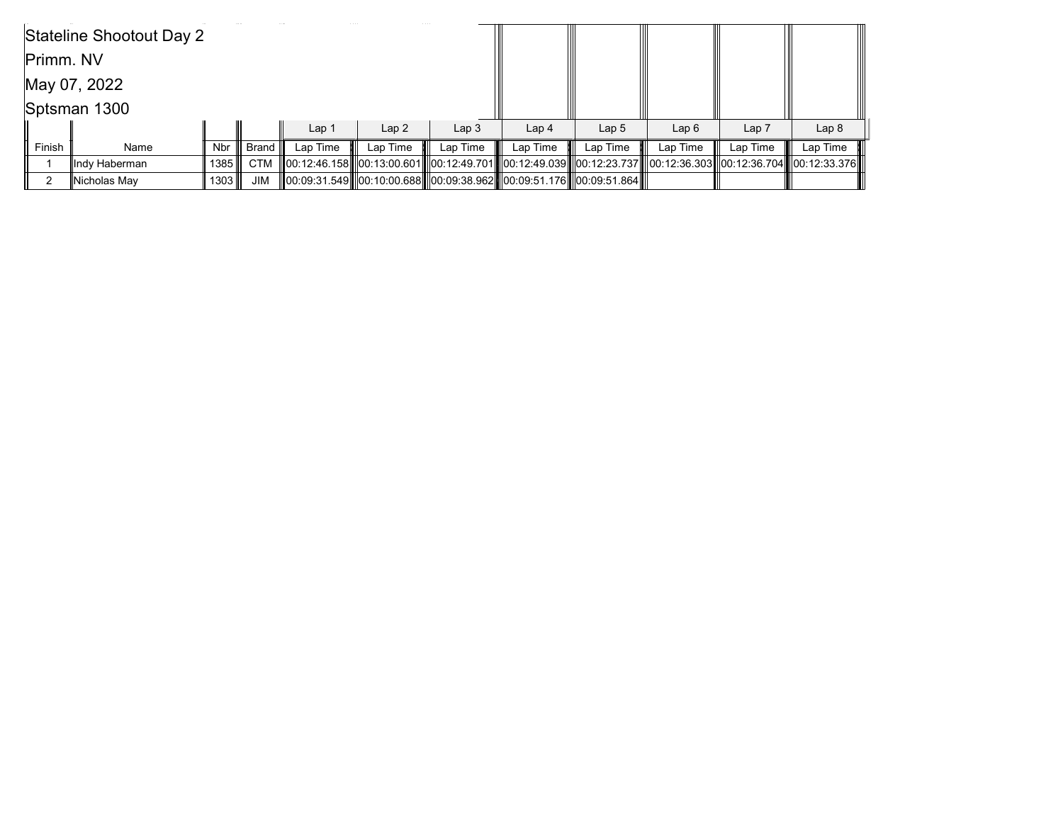|           | Stateline Shootout Day 2 |        |                  |                  |          |                                                                      |                  |                  |                                                                                                                |                  |                  |
|-----------|--------------------------|--------|------------------|------------------|----------|----------------------------------------------------------------------|------------------|------------------|----------------------------------------------------------------------------------------------------------------|------------------|------------------|
| Primm. NV |                          |        |                  |                  |          |                                                                      |                  |                  |                                                                                                                |                  |                  |
|           | May 07, 2022             |        |                  |                  |          |                                                                      |                  |                  |                                                                                                                |                  |                  |
|           | Sptsman 1300             |        |                  |                  |          |                                                                      |                  |                  |                                                                                                                |                  |                  |
|           |                          |        |                  | Lap <sub>1</sub> | Lap2     | Lap <sub>3</sub>                                                     | Lap <sub>4</sub> | Lap <sub>5</sub> | Lap6                                                                                                           | Lap <sub>7</sub> | Lap <sub>8</sub> |
| Finish    | Name                     | Nbr l  | ∣ Brand <b>I</b> | Lap Time         | Lap Time | Lap Time                                                             | Lap Time         | Lap Time         | Lap Time                                                                                                       | Lap Time         | Lap Time         |
|           | llndy Haberman           | 1385 ∥ | <b>CTM</b>       |                  |          |                                                                      |                  |                  | 00:12:46.158  00:13:00.601  00:12:49.701  00:12:49.039  00:12:23.737  00:12:36.303  00:12:36.704  00:12:33.376 |                  |                  |
|           | Nicholas May             | 1303 Ⅲ | JIM              |                  |          | 00:09:31.549  00:10:00.688  00:09:38.962  00:09:51.176  00:09:51.864 |                  |                  |                                                                                                                |                  |                  |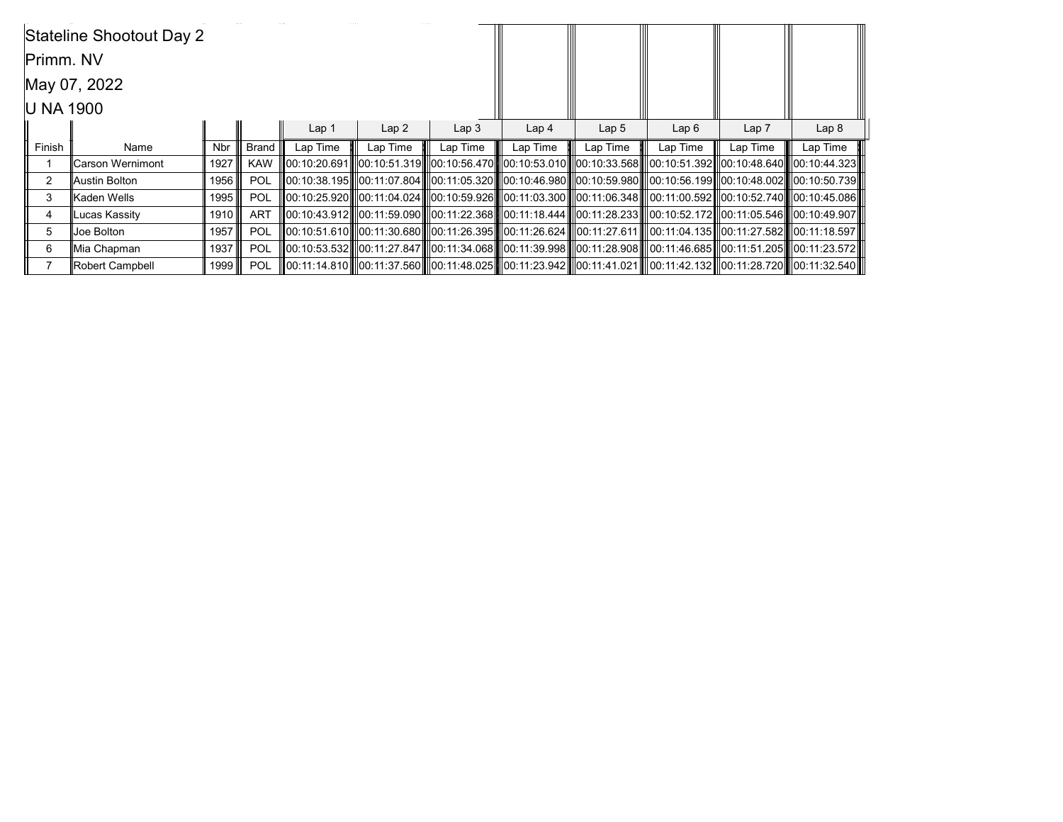|           | Stateline Shootout Day 2 |            |             |                  |                  |                  |                                                                                                                                  |                  |          |          |                  |
|-----------|--------------------------|------------|-------------|------------------|------------------|------------------|----------------------------------------------------------------------------------------------------------------------------------|------------------|----------|----------|------------------|
| Primm. NV |                          |            |             |                  |                  |                  |                                                                                                                                  |                  |          |          |                  |
|           | May 07, 2022             |            |             |                  |                  |                  |                                                                                                                                  |                  |          |          |                  |
| U NA 1900 |                          |            |             |                  |                  |                  |                                                                                                                                  |                  |          |          |                  |
|           |                          |            |             | Lap <sub>1</sub> | Lap <sub>2</sub> | Lap <sub>3</sub> | Lap <sub>4</sub>                                                                                                                 | Lap <sub>5</sub> | Lap6     | Lap 7    | Lap <sub>8</sub> |
| Finish    | Name                     | <b>Nbr</b> | Brand       | Lap Time         | Lap Time         | Lap Time         | Lap Time                                                                                                                         | Lap Time         | Lap Time | Lap Time | Lap Time         |
|           | Carson Wernimont         | 1927       | <b>KAW</b>  |                  |                  |                  | III00:10:20.691IIII00:10:51.319IIII00:10:56.470IIII00:10:53.010IIII00:10:33.568IIII00:10:51.392III00:10:48.640IIII00:10:44.323II |                  |          |          |                  |
| 2         | Austin Bolton            | 1956       | POL         |                  |                  |                  | III00:10:38.195IIII00:11:07.804IIII00:11:05.320IIII00:10:46.980IIII00:10:59.980IIII00:10:56.199III00:10:48.002IIII00:10:50.739II |                  |          |          |                  |
| 3         | Kaden Wells              | 1995       | POL         |                  |                  |                  | 00:10:25.920   00:11:04.024   00:10:59.926   00:11:03.300   00:11:06.348    00:11:00.592   00:10:52.740   00:10:45.086           |                  |          |          |                  |
| 4         | Lucas Kassity            | 1910 ∥     | <b>ART</b>  |                  |                  |                  | III00:10:43.912IIII00:11:59.090IIII00:11:22.368IIII00:11:18.444IIII00:11:28.233IIII00:10:52.172III00:11:05.546IIII00:10:49.907II |                  |          |          |                  |
| 5         | Joe Bolton               | 1957       | POL         |                  |                  |                  | III00:10:51.610IIII00:11:30.680IIII00:11:26.395IIII00:11:26.624IIII00:11:27.611IIII00:11:04.135III00:11:27.582IIII00:11:18.597II |                  |          |          |                  |
| 6         | Mia Chapman              | 1937       | POL         |                  |                  |                  | 00:10:53.532IIIl00:11:27.847IIIl00:11:34.068IIIl00:11:39.998IIIl00:11:28.908IIIl00:11:46.685IIIl00:11:51.205IIIl00:11:23.572II   |                  |          |          |                  |
|           | Robert Campbell          |            | 1999    POL |                  |                  |                  | 00:11:14.810  00:11:37.560  00:11:48.025  00:11:23.942  00:11:41.021  00:11:42.132  00:11:28.720  00:11:32.540                   |                  |          |          |                  |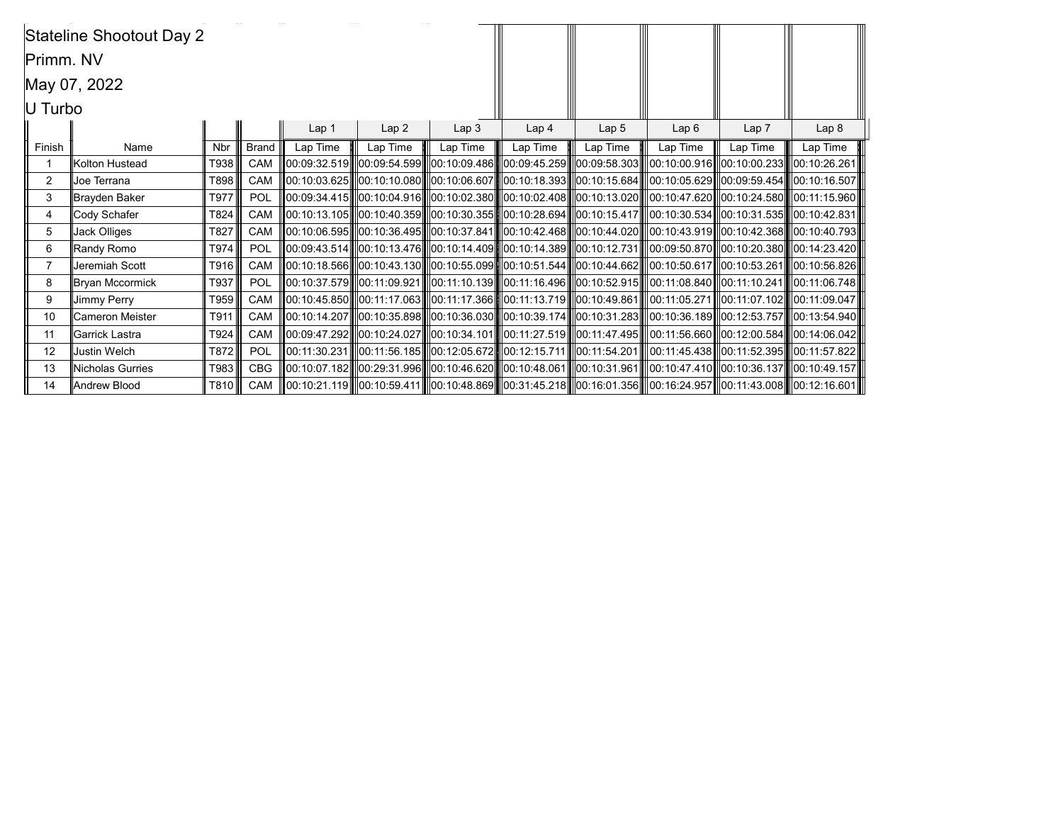|           | Stateline Shootout Day 2 |            |              |          |                  |                  |                                                                                                                              |          |                  |                  |          |
|-----------|--------------------------|------------|--------------|----------|------------------|------------------|------------------------------------------------------------------------------------------------------------------------------|----------|------------------|------------------|----------|
| Primm. NV |                          |            |              |          |                  |                  |                                                                                                                              |          |                  |                  |          |
|           | May 07, 2022             |            |              |          |                  |                  |                                                                                                                              |          |                  |                  |          |
| U Turbo   |                          |            |              |          |                  |                  |                                                                                                                              |          |                  |                  |          |
|           |                          |            |              | Lap 1    | Lap <sub>3</sub> | Lap <sub>4</sub> | Lap <sub>5</sub>                                                                                                             | Lap6     | Lap <sub>7</sub> | Lap <sub>8</sub> |          |
| Finish    | Name                     | <b>Nbr</b> | <b>Brand</b> | Lap Time | Lap2<br>Lap Time | Lap Time         | Lap Time                                                                                                                     | Lap Time | Lap Time         | Lap Time         | Lap Time |
|           | Kolton Hustead           | T938       | <b>CAM</b>   |          |                  |                  | 00:09:32.519   00:09:54.599   00:10:09.486   00:09:45.259   00:09:58.303   00:10:00.916   00:10:00.233   00:10:26.261        |          |                  |                  |          |
| 2         | Joe Terrana              | T898       | <b>CAM</b>   |          |                  |                  | 00:10:03.625  00:10:10.080  00:10:06.607  00:10:18.393  00:10:15.684  00:10:05.629  00:09:59.454  00:10:16.507               |          |                  |                  |          |
| 3         | Brayden Baker            | T977       | POL          |          |                  |                  | 00:09:34.415   00:10:04.916   00:10:02.380   00:10:02.408   00:10:13.020   00:10:47.620   00:10:24.580   00:11:15.960        |          |                  |                  |          |
| 4         | Cody Schafer             | T824       | <b>CAM</b>   |          |                  |                  | 00:10:13.105  00:10:40.359  00:10:30.355  00:10:28.694  00:10:15.417  00:10:30.534  00:10:31.535  00:10:42.831               |          |                  |                  |          |
| 5         | Jack Olliges             | T827       | CAM          |          |                  |                  | 00:10:06.595  00:10:36.495  00:10:37.841  00:10:42.468  00:10:44.020  00:10:43.919  00:10:42.368  00:10:40.793               |          |                  |                  |          |
| 6         | Randy Romo               | T974       | <b>POL</b>   |          |                  |                  | 00:09:43.514  00:10:13.476  00:10:14.409  00:10:14.389  00:10:12.731  00:09:50.870  00:10:20.380  00:14:23.420               |          |                  |                  |          |
|           | Jeremiah Scott           | T916       | <b>CAM</b>   |          |                  |                  | 00:10:18.566 00:10:43.130 00:10:55.099 00:10:51.544 00:10:44.662 00:10:50.617 00:10:53.261 00:10:56.826                      |          |                  |                  |          |
| 8         | Bryan Mccormick          | T937       | POL          |          |                  |                  | 00:10:37.579   00:11:09.921   00:11:10.139   00:11:16.496   00:10:52.915   00:11:08.840  00:11:10.241   00:11:06.748         |          |                  |                  |          |
| 9         | <b>Jimmy Perry</b>       | T959       | CAM          |          |                  |                  | 00:10:45.850  00:11:17.063  00:11:17.366  00:11:13.719  00:10:49.861  00:11:05.271  00:11:07.102  00:11:09.047               |          |                  |                  |          |
| 10        | Cameron Meister          | T911       | CAM          |          |                  |                  | 00:10:14.207    00:10:35.898    00:10:36.030    00:10:39.174    00:10:31.283    00:10:36.189    00:12:53.757    00:13:54.940 |          |                  |                  |          |
| 11        | Garrick Lastra           | T924       | CAM          |          |                  |                  | 00:09:47.292  00:10:24.027  00:10:34.101  00:11:27.519  00:11:47.495  00:11:56.660  00:12:00.584  00:14:06.042               |          |                  |                  |          |
| 12        | <b>Justin Welch</b>      | T872       | <b>POL</b>   |          |                  |                  |                                                                                                                              |          |                  |                  |          |
| 13        | <b>Nicholas Gurries</b>  | T983       | <b>CBG</b>   |          |                  |                  | 00:10:07.182  00:29:31.996  00:10:46.620  00:10:48.061  00:10:31.961  00:10:47.410  00:10:36.137  00:10:49.157               |          |                  |                  |          |
| 14        | Andrew Blood             | T810 III   |              |          |                  |                  | CAM   00:10:21.119  00:10:59.411  00:10:48.869  00:31:45.218  00:16:01.356  00:16:24.957  00:11:43.008  00:12:16.601         |          |                  |                  |          |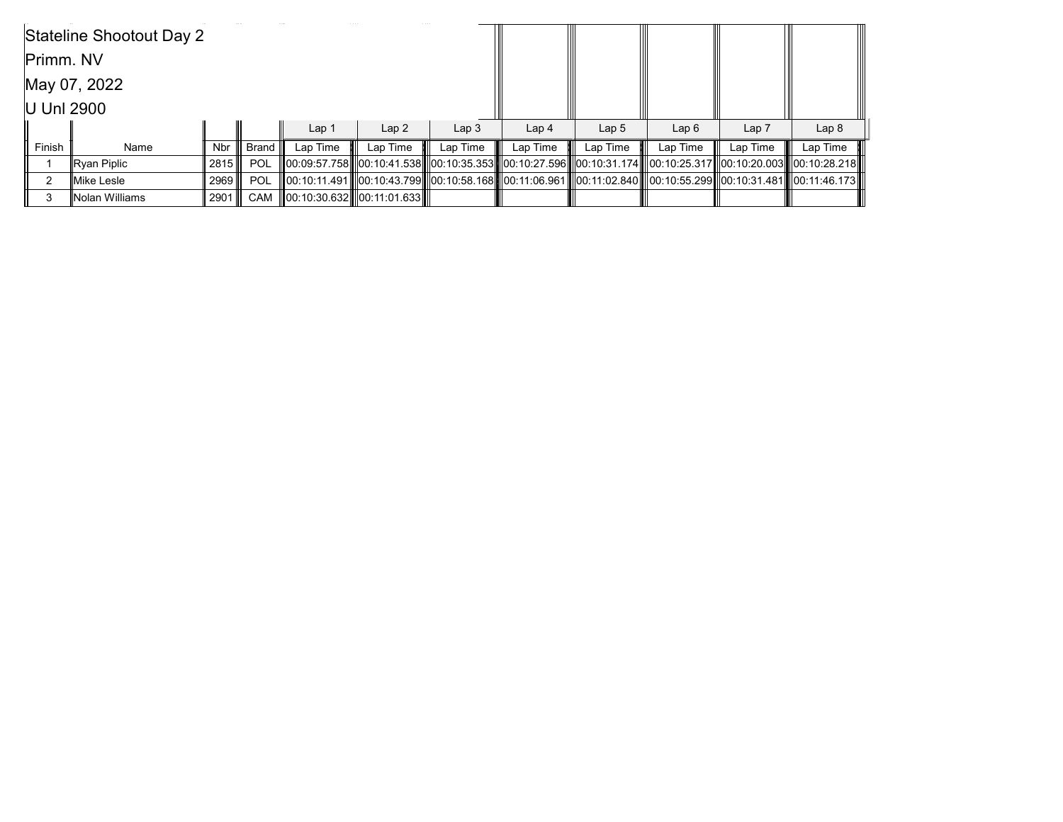|              | Stateline Shootout Day 2 |        |                  |                  |                            |                  |                  |                  |                                                                                                                   |                  |                  |
|--------------|--------------------------|--------|------------------|------------------|----------------------------|------------------|------------------|------------------|-------------------------------------------------------------------------------------------------------------------|------------------|------------------|
| Primm. NV    |                          |        |                  |                  |                            |                  |                  |                  |                                                                                                                   |                  |                  |
| May 07, 2022 |                          |        |                  |                  |                            |                  |                  |                  |                                                                                                                   |                  |                  |
| U Unl 2900   |                          |        |                  |                  |                            |                  |                  |                  |                                                                                                                   |                  |                  |
|              |                          |        |                  | Lap <sub>1</sub> | Lap2                       | Lap <sub>3</sub> | Lap <sub>4</sub> | Lap <sub>5</sub> | Lap6                                                                                                              | Lap <sub>7</sub> | Lap <sub>8</sub> |
| Finish       | Name                     | Nbr    | ∣ Brand <b>∥</b> | Lap Time         | Lap Time                   | Lap Time         | Lap Time         | Lap Time         | Lap Time                                                                                                          | Lap Time         | Lap Time         |
|              | ∥Ryan Piplic             | 2815 Ⅲ | POL              |                  |                            |                  |                  |                  | 00:09:57.758  00:10:41.538  00:10:35.353  00:10:27.596   00:10:31.174   00:10:25.317  00:10:20.003   00:10:28.218 |                  |                  |
| າ            | Mike Lesle               | 2969   | POL              |                  |                            |                  |                  |                  | 00:10:11.491  00:10:43.799  00:10:58.168  00:11:06.961  00:11:02.840  00:10:55.299  00:10:31.481  00:11:46.173    |                  |                  |
|              | Nolan Williams           | 2901 ∥ | CAM              |                  | 00:10:30.632  00:11:01.633 |                  |                  |                  |                                                                                                                   |                  |                  |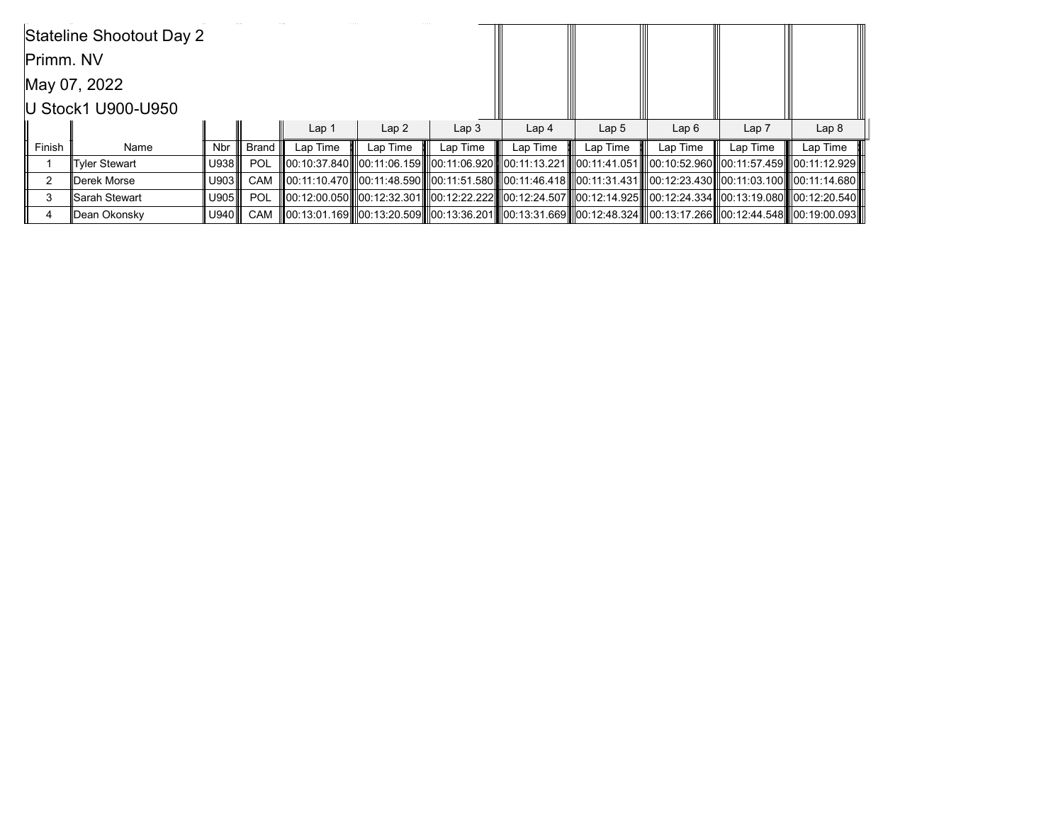|              | Stateline Shootout Day 2 |            |            |                  |          |                  |                  |                  |                                                                                                                      |          |                  |
|--------------|--------------------------|------------|------------|------------------|----------|------------------|------------------|------------------|----------------------------------------------------------------------------------------------------------------------|----------|------------------|
| Primm. NV    |                          |            |            |                  |          |                  |                  |                  |                                                                                                                      |          |                  |
| May 07, 2022 |                          |            |            |                  |          |                  |                  |                  |                                                                                                                      |          |                  |
|              | U Stock1 U900-U950       |            |            |                  |          |                  |                  |                  |                                                                                                                      |          |                  |
|              |                          |            |            | Lap <sub>1</sub> | Lap2     | Lap <sub>3</sub> | Lap <sub>4</sub> | Lap <sub>5</sub> | Lap6                                                                                                                 | Lap 7    | Lap <sub>8</sub> |
| Finish       | Name                     | <b>Nbr</b> |            | Lap Time         | Lap Time | Lap Time         | Lap Time         | Lap Time         | Lap Time                                                                                                             | Lap Time | Lap Time         |
|              | <b>Tyler Stewart</b>     | U938       | <b>POL</b> |                  |          |                  |                  |                  | 00:10:37.840   00:11:06.159   00:11:06.920   00:11:13.221   00:11:41.051   00:10:52.960  00:11:57.459   00:11:12.929 |          |                  |
| 2            | Derek Morse              | U903       | CAM        |                  |          |                  |                  |                  | 00:11:10.470  00:11:48.590  00:11:51.580  00:11:46.418  00:11:31.431  00:12:23.430  00:11:03.100  00:11:14.680       |          |                  |
| 3            | <b>Sarah Stewart</b>     | U905       | POL        |                  |          |                  |                  |                  | 00:12:00.050   00:12:32.301   00:12:22.222   00:12:24.507   00:12:14.925   00:12:24.334  00:13:19.080   00:12:20.540 |          |                  |
|              | Dean Okonsky             | U940       | CAM        |                  |          |                  |                  |                  | 00:13:01.169  00:13:20.509  00:13:36.201  00:13:31.669  00:12:48.324  00:13:17.266  00:12:44.548  00:19:00.093       |          |                  |